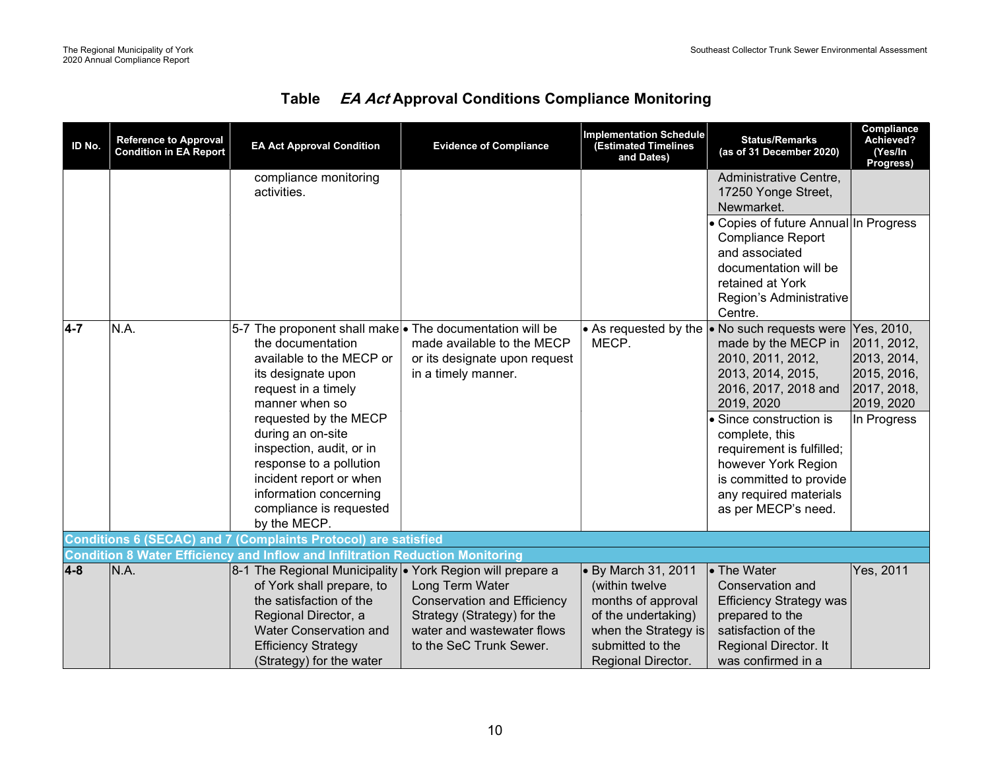| <b>Table</b> | <b>EA Act Approval Conditions Compliance Monitoring</b> |  |  |  |
|--------------|---------------------------------------------------------|--|--|--|
|--------------|---------------------------------------------------------|--|--|--|

| ID No.           | <b>Reference to Approval</b><br><b>Condition in EA Report</b> | <b>EA Act Approval Condition</b>                                                                                                                                                                                                                                                                                                   | <b>Evidence of Compliance</b>                                                                                                                 | <b>Implementation Schedule</b><br><b>(Estimated Timelines</b><br>and Dates)                                                                          | <b>Status/Remarks</b><br>(as of 31 December 2020)                                                                                                                                                                                                                                                                                  | Compliance<br>Achieved?<br>(Yes/In<br>Progress)                                                     |
|------------------|---------------------------------------------------------------|------------------------------------------------------------------------------------------------------------------------------------------------------------------------------------------------------------------------------------------------------------------------------------------------------------------------------------|-----------------------------------------------------------------------------------------------------------------------------------------------|------------------------------------------------------------------------------------------------------------------------------------------------------|------------------------------------------------------------------------------------------------------------------------------------------------------------------------------------------------------------------------------------------------------------------------------------------------------------------------------------|-----------------------------------------------------------------------------------------------------|
|                  |                                                               | compliance monitoring<br>activities.                                                                                                                                                                                                                                                                                               |                                                                                                                                               |                                                                                                                                                      | Administrative Centre,<br>17250 Yonge Street,<br>Newmarket.<br>• Copies of future Annual In Progress<br><b>Compliance Report</b><br>and associated<br>documentation will be<br>retained at York                                                                                                                                    |                                                                                                     |
| $\overline{4-7}$ | N.A.                                                          | 5-7 The proponent shall make • The documentation will be<br>the documentation<br>available to the MECP or<br>its designate upon<br>request in a timely<br>manner when so<br>requested by the MECP<br>during an on-site<br>inspection, audit, or in<br>response to a pollution<br>incident report or when<br>information concerning | made available to the MECP<br>or its designate upon request<br>in a timely manner.                                                            | • As requested by the<br>MECP.                                                                                                                       | Region's Administrative<br>Centre.<br>$\bullet$ No such requests were<br>made by the MECP in<br>2010, 2011, 2012,<br>2013, 2014, 2015,<br>2016, 2017, 2018 and<br>2019, 2020<br>• Since construction is<br>complete, this<br>requirement is fulfilled;<br>however York Region<br>is committed to provide<br>any required materials | Yes, 2010,<br>2011, 2012,<br>2013, 2014,<br>2015, 2016,<br>2017, 2018,<br>2019, 2020<br>In Progress |
|                  |                                                               | compliance is requested<br>by the MECP.<br><b>Conditions 6 (SECAC) and 7 (Complaints Protocol) are satisfied</b>                                                                                                                                                                                                                   |                                                                                                                                               |                                                                                                                                                      | as per MECP's need.                                                                                                                                                                                                                                                                                                                |                                                                                                     |
|                  |                                                               | <b>Condition 8 Water Efficiency and Inflow and Infiltration Reduction Monitoring</b>                                                                                                                                                                                                                                               |                                                                                                                                               |                                                                                                                                                      |                                                                                                                                                                                                                                                                                                                                    |                                                                                                     |
| $4 - 8$          | N.A.                                                          | 8-1 The Regional Municipality • York Region will prepare a<br>of York shall prepare, to<br>the satisfaction of the<br>Regional Director, a<br><b>Water Conservation and</b><br><b>Efficiency Strategy</b><br>(Strategy) for the water                                                                                              | Long Term Water<br><b>Conservation and Efficiency</b><br>Strategy (Strategy) for the<br>water and wastewater flows<br>to the SeC Trunk Sewer. | • By March 31, 2011<br>(within twelve<br>months of approval<br>of the undertaking)<br>when the Strategy is<br>submitted to the<br>Regional Director. | • The Water<br>Conservation and<br><b>Efficiency Strategy was</b><br>prepared to the<br>satisfaction of the<br>Regional Director. It<br>was confirmed in a                                                                                                                                                                         | Yes, 2011                                                                                           |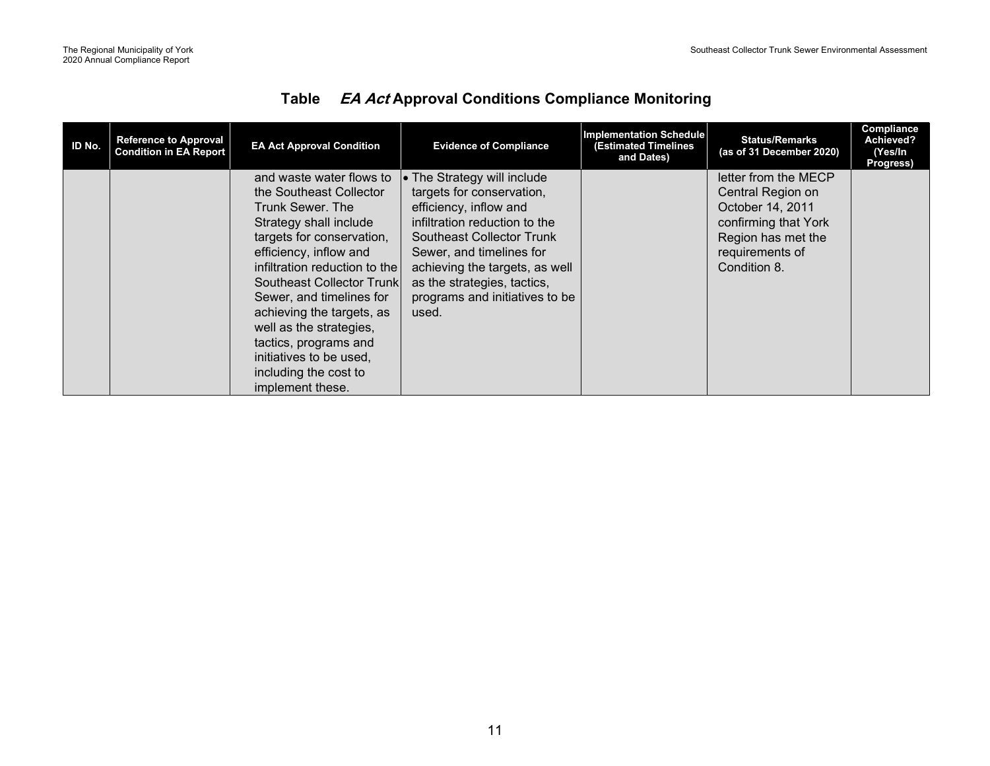| ID No. | <b>Reference to Approval</b><br><b>Condition in EA Report</b> | <b>EA Act Approval Condition</b> | <b>Evidence of Compliance</b>       | <b>Implementation Schedule</b><br>(Estimated Timelines<br>and Dates) | <b>Status/Remarks</b><br>(as of 31 December 2020) | Compliance<br>Achieved?<br>(Yes/In<br>Progress) |
|--------|---------------------------------------------------------------|----------------------------------|-------------------------------------|----------------------------------------------------------------------|---------------------------------------------------|-------------------------------------------------|
|        |                                                               | and waste water flows to         | $\bullet$ The Strategy will include |                                                                      | letter from the MECP                              |                                                 |
|        |                                                               | the Southeast Collector          | targets for conservation,           |                                                                      | Central Region on                                 |                                                 |
|        |                                                               | Trunk Sewer, The                 | efficiency, inflow and              |                                                                      | October 14, 2011                                  |                                                 |
|        |                                                               | Strategy shall include           | infiltration reduction to the       |                                                                      | confirming that York                              |                                                 |
|        |                                                               | targets for conservation,        | <b>Southeast Collector Trunk</b>    |                                                                      | Region has met the                                |                                                 |
|        |                                                               | efficiency, inflow and           | Sewer, and timelines for            |                                                                      | requirements of                                   |                                                 |
|        |                                                               | infiltration reduction to the    | achieving the targets, as well      |                                                                      | Condition 8.                                      |                                                 |
|        |                                                               | Southeast Collector Trunk        | as the strategies, tactics,         |                                                                      |                                                   |                                                 |
|        |                                                               | Sewer, and timelines for         | programs and initiatives to be      |                                                                      |                                                   |                                                 |
|        |                                                               | achieving the targets, as        | used.                               |                                                                      |                                                   |                                                 |
|        |                                                               | well as the strategies,          |                                     |                                                                      |                                                   |                                                 |
|        |                                                               | tactics, programs and            |                                     |                                                                      |                                                   |                                                 |
|        |                                                               | initiatives to be used,          |                                     |                                                                      |                                                   |                                                 |
|        |                                                               | including the cost to            |                                     |                                                                      |                                                   |                                                 |
|        |                                                               | implement these.                 |                                     |                                                                      |                                                   |                                                 |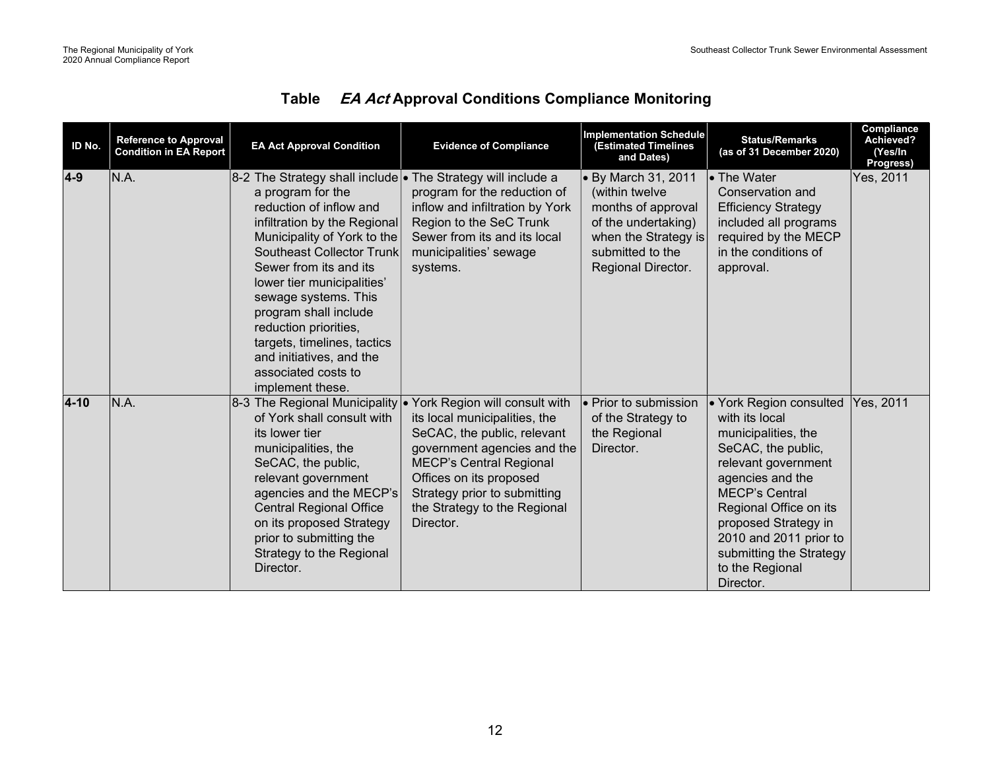| ID No.   | <b>Reference to Approval</b><br><b>Condition in EA Report</b> | <b>EA Act Approval Condition</b>                                                                                                                                                                                                                                                                                                                                                                                                                        | <b>Evidence of Compliance</b>                                                                                                                                                                                                                                            | <b>Implementation Schedule</b><br><b>(Estimated Timelines</b><br>and Dates)                                                                                  | <b>Status/Remarks</b><br>(as of 31 December 2020)                                                                                                                                                                                                                                                 | Compliance<br>Achieved?<br>(Yes/In<br>Progress) |
|----------|---------------------------------------------------------------|---------------------------------------------------------------------------------------------------------------------------------------------------------------------------------------------------------------------------------------------------------------------------------------------------------------------------------------------------------------------------------------------------------------------------------------------------------|--------------------------------------------------------------------------------------------------------------------------------------------------------------------------------------------------------------------------------------------------------------------------|--------------------------------------------------------------------------------------------------------------------------------------------------------------|---------------------------------------------------------------------------------------------------------------------------------------------------------------------------------------------------------------------------------------------------------------------------------------------------|-------------------------------------------------|
| $4-9$    | N.A.                                                          | 8-2 The Strategy shall include • The Strategy will include a<br>a program for the<br>reduction of inflow and<br>infiltration by the Regional<br>Municipality of York to the<br><b>Southeast Collector Trunk</b><br>Sewer from its and its<br>lower tier municipalities'<br>sewage systems. This<br>program shall include<br>reduction priorities,<br>targets, timelines, tactics<br>and initiatives, and the<br>associated costs to<br>implement these. | program for the reduction of<br>inflow and infiltration by York<br>Region to the SeC Trunk<br>Sewer from its and its local<br>municipalities' sewage<br>systems.                                                                                                         | $\bullet$ By March 31, 2011<br>(within twelve<br>months of approval<br>of the undertaking)<br>when the Strategy is<br>submitted to the<br>Regional Director. | • The Water<br>Conservation and<br><b>Efficiency Strategy</b><br>included all programs<br>required by the MECP<br>in the conditions of<br>approval.                                                                                                                                               | Yes, 2011                                       |
| $4 - 10$ | N.A.                                                          | 8-3 The Regional Municipality<br>of York shall consult with<br>its lower tier<br>municipalities, the<br>SeCAC, the public,<br>relevant government<br>agencies and the MECP's<br><b>Central Regional Office</b><br>on its proposed Strategy<br>prior to submitting the<br>Strategy to the Regional<br>Director.                                                                                                                                          | • York Region will consult with<br>its local municipalities, the<br>SeCAC, the public, relevant<br>government agencies and the<br><b>MECP's Central Regional</b><br>Offices on its proposed<br>Strategy prior to submitting<br>the Strategy to the Regional<br>Director. | l• Prior to submission<br>of the Strategy to<br>the Regional<br>Director.                                                                                    | • York Region consulted<br>with its local<br>municipalities, the<br>SeCAC, the public,<br>relevant government<br>agencies and the<br><b>MECP's Central</b><br>Regional Office on its<br>proposed Strategy in<br>2010 and 2011 prior to<br>submitting the Strategy<br>to the Regional<br>Director. | Yes, 2011                                       |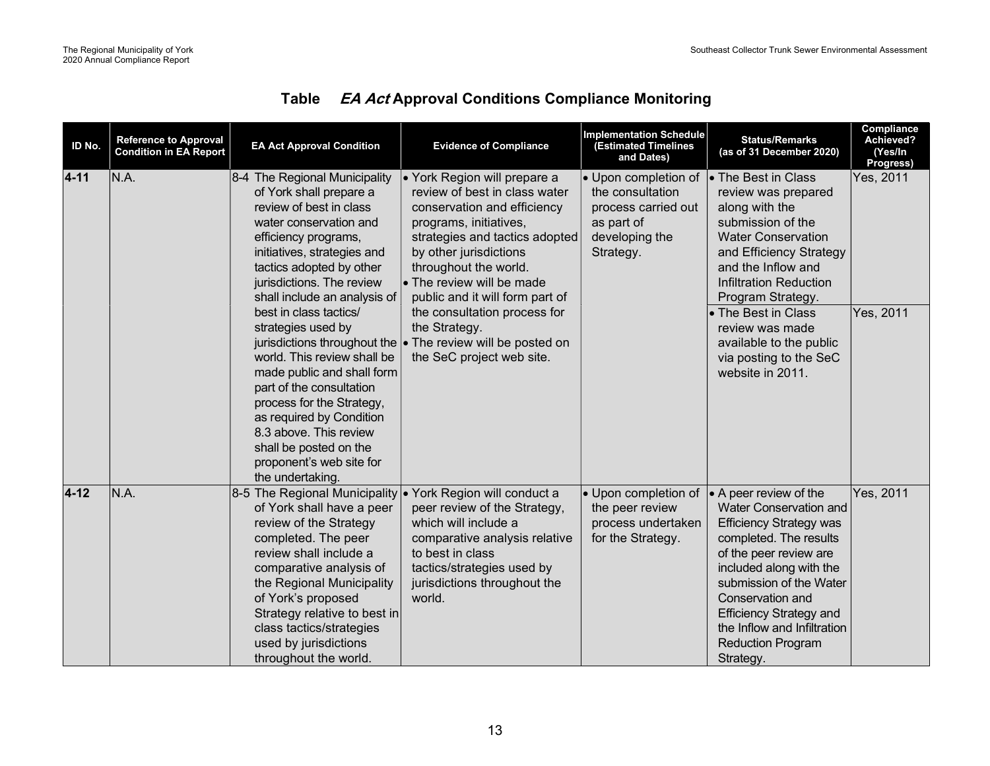| ID No.   | <b>Reference to Approval</b><br><b>Condition in EA Report</b> | <b>EA Act Approval Condition</b>                                                                                                                                                                                                                                                                                                                                                                                                                                                                                                                                                                    | <b>Evidence of Compliance</b>                                                                                                                                                                                                                                                                                                                                                                       | <b>Implementation Schedule</b><br><b>Estimated Timelines</b><br>and Dates)                                           | <b>Status/Remarks</b><br>(as of 31 December 2020)                                                                                                                                                                                                                                                                                               | Compliance<br>Achieved?<br>(Yes/In<br>Progress) |
|----------|---------------------------------------------------------------|-----------------------------------------------------------------------------------------------------------------------------------------------------------------------------------------------------------------------------------------------------------------------------------------------------------------------------------------------------------------------------------------------------------------------------------------------------------------------------------------------------------------------------------------------------------------------------------------------------|-----------------------------------------------------------------------------------------------------------------------------------------------------------------------------------------------------------------------------------------------------------------------------------------------------------------------------------------------------------------------------------------------------|----------------------------------------------------------------------------------------------------------------------|-------------------------------------------------------------------------------------------------------------------------------------------------------------------------------------------------------------------------------------------------------------------------------------------------------------------------------------------------|-------------------------------------------------|
| $4 - 11$ | N.A.                                                          | 8-4 The Regional Municipality<br>of York shall prepare a<br>review of best in class<br>water conservation and<br>efficiency programs,<br>initiatives, strategies and<br>tactics adopted by other<br>jurisdictions. The review<br>shall include an analysis of<br>best in class tactics/<br>strategies used by<br>jurisdictions throughout the<br>world. This review shall be<br>made public and shall form<br>part of the consultation<br>process for the Strategy,<br>as required by Condition<br>8.3 above. This review<br>shall be posted on the<br>proponent's web site for<br>the undertaking. | • York Region will prepare a<br>review of best in class water<br>conservation and efficiency<br>programs, initiatives,<br>strategies and tactics adopted<br>by other jurisdictions<br>throughout the world.<br>• The review will be made<br>public and it will form part of<br>the consultation process for<br>the Strategy.<br>$\bullet$ The review will be posted on<br>the SeC project web site. | $\bullet$ Upon completion of<br>the consultation<br>process carried out<br>as part of<br>developing the<br>Strategy. | <b>• The Best in Class</b><br>review was prepared<br>along with the<br>submission of the<br><b>Water Conservation</b><br>and Efficiency Strategy<br>and the Inflow and<br><b>Infiltration Reduction</b><br>Program Strategy.<br>• The Best in Class<br>review was made<br>available to the public<br>via posting to the SeC<br>website in 2011. | Yes, 2011<br>Yes, 2011                          |
| $4 - 12$ | N.A.                                                          | 8-5 The Regional Municipality<br>of York shall have a peer<br>review of the Strategy<br>completed. The peer<br>review shall include a<br>comparative analysis of<br>the Regional Municipality<br>of York's proposed<br>Strategy relative to best in<br>class tactics/strategies<br>used by jurisdictions<br>throughout the world.                                                                                                                                                                                                                                                                   | ● York Region will conduct a<br>peer review of the Strategy,<br>which will include a<br>comparative analysis relative<br>to best in class<br>tactics/strategies used by<br>jurisdictions throughout the<br>world.                                                                                                                                                                                   | • Upon completion of<br>the peer review<br>process undertaken<br>for the Strategy.                                   | $\bullet$ A peer review of the<br>Water Conservation and<br><b>Efficiency Strategy was</b><br>completed. The results<br>of the peer review are<br>included along with the<br>submission of the Water<br>Conservation and<br><b>Efficiency Strategy and</b><br>the Inflow and Infiltration<br><b>Reduction Program</b><br>Strategy.              | Yes, 2011                                       |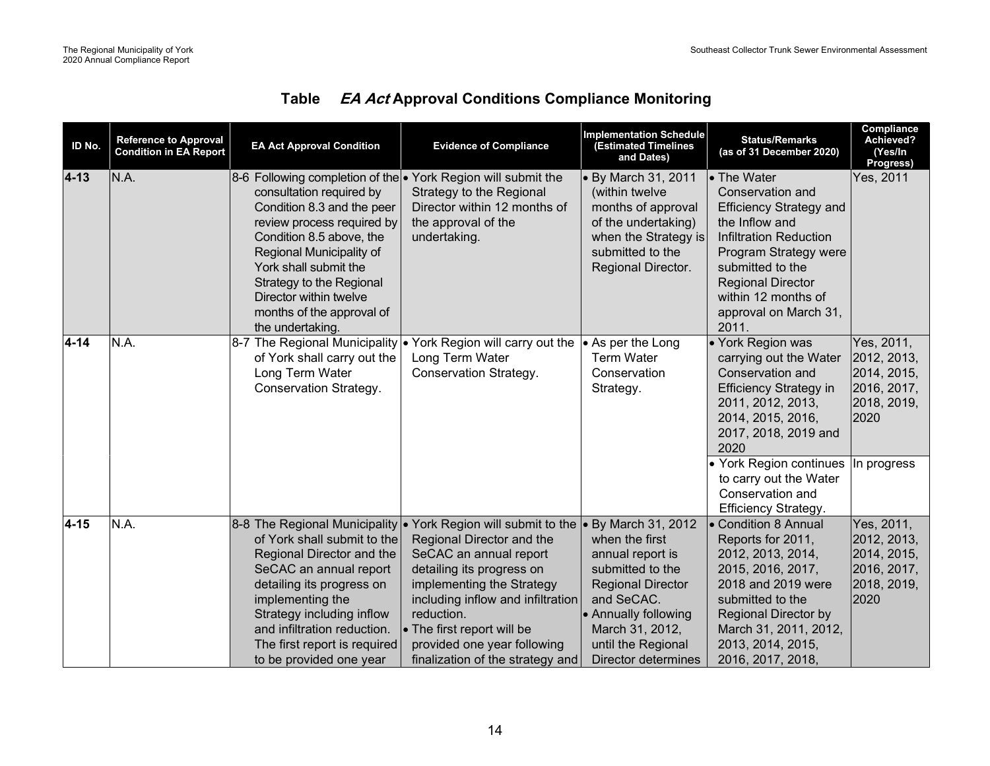| ID No.   | <b>Reference to Approval</b><br><b>Condition in EA Report</b> | <b>EA Act Approval Condition</b>                                                                                                                                                                                                                                                                                                              | <b>Evidence of Compliance</b>                                                                                                                                                                                                                                                                                              | <b>Implementation Schedule</b><br><b>(Estimated Timelines</b><br>and Dates)                                                                                                                     | <b>Status/Remarks</b><br>(as of 31 December 2020)                                                                                                                                                                                                      | Compliance<br>Achieved?<br>(Yes/In<br>Progress)                                |
|----------|---------------------------------------------------------------|-----------------------------------------------------------------------------------------------------------------------------------------------------------------------------------------------------------------------------------------------------------------------------------------------------------------------------------------------|----------------------------------------------------------------------------------------------------------------------------------------------------------------------------------------------------------------------------------------------------------------------------------------------------------------------------|-------------------------------------------------------------------------------------------------------------------------------------------------------------------------------------------------|--------------------------------------------------------------------------------------------------------------------------------------------------------------------------------------------------------------------------------------------------------|--------------------------------------------------------------------------------|
| $4 - 13$ | N.A.                                                          | 8-6 Following completion of the • York Region will submit the<br>consultation required by<br>Condition 8.3 and the peer<br>review process required by<br>Condition 8.5 above, the<br>Regional Municipality of<br>York shall submit the<br>Strategy to the Regional<br>Director within twelve<br>months of the approval of<br>the undertaking. | Strategy to the Regional<br>Director within 12 months of<br>the approval of the<br>undertaking.                                                                                                                                                                                                                            | • By March 31, 2011<br>(within twelve<br>months of approval<br>of the undertaking)<br>when the Strategy is<br>submitted to the<br>Regional Director.                                            | • The Water<br>Conservation and<br><b>Efficiency Strategy and</b><br>the Inflow and<br><b>Infiltration Reduction</b><br>Program Strategy were<br>submitted to the<br><b>Regional Director</b><br>within 12 months of<br>approval on March 31,<br>2011. | Yes, 2011                                                                      |
| $4 - 14$ | N.A.                                                          | of York shall carry out the<br>Long Term Water<br>Conservation Strategy.                                                                                                                                                                                                                                                                      | 8-7 The Regional Municipality • York Region will carry out the  • As per the Long<br>Long Term Water<br>Conservation Strategy.                                                                                                                                                                                             | <b>Term Water</b><br>Conservation<br>Strategy.                                                                                                                                                  | · York Region was<br>carrying out the Water<br>Conservation and<br><b>Efficiency Strategy in</b><br>2011, 2012, 2013,<br>2014, 2015, 2016,<br>2017, 2018, 2019 and<br>2020                                                                             | Yes, 2011,<br>2012, 2013,<br>2014, 2015,<br>2016, 2017,<br>2018, 2019,<br>2020 |
|          |                                                               |                                                                                                                                                                                                                                                                                                                                               |                                                                                                                                                                                                                                                                                                                            |                                                                                                                                                                                                 | • York Region continues In progress<br>to carry out the Water<br>Conservation and<br><b>Efficiency Strategy.</b>                                                                                                                                       |                                                                                |
| $4 - 15$ | N.A.                                                          | 8-8 The Regional Municipality<br>of York shall submit to the<br>Regional Director and the<br>SeCAC an annual report<br>detailing its progress on<br>implementing the<br>Strategy including inflow<br>and infiltration reduction.<br>The first report is required<br>to be provided one year                                                   | • York Region will submit to the  • By March 31, 2012<br>Regional Director and the<br>SeCAC an annual report<br>detailing its progress on<br>implementing the Strategy<br>including inflow and infiltration<br>reduction.<br>• The first report will be<br>provided one year following<br>finalization of the strategy and | when the first<br>annual report is<br>submitted to the<br><b>Regional Director</b><br>and SeCAC.<br>• Annually following<br>March 31, 2012,<br>until the Regional<br><b>Director determines</b> | • Condition 8 Annual<br>Reports for 2011,<br>2012, 2013, 2014,<br>2015, 2016, 2017,<br>2018 and 2019 were<br>submitted to the<br><b>Regional Director by</b><br>March 31, 2011, 2012,<br>2013, 2014, 2015,<br>2016, 2017, 2018,                        | Yes, 2011,<br>2012, 2013,<br>2014, 2015,<br>2016, 2017,<br>2018, 2019,<br>2020 |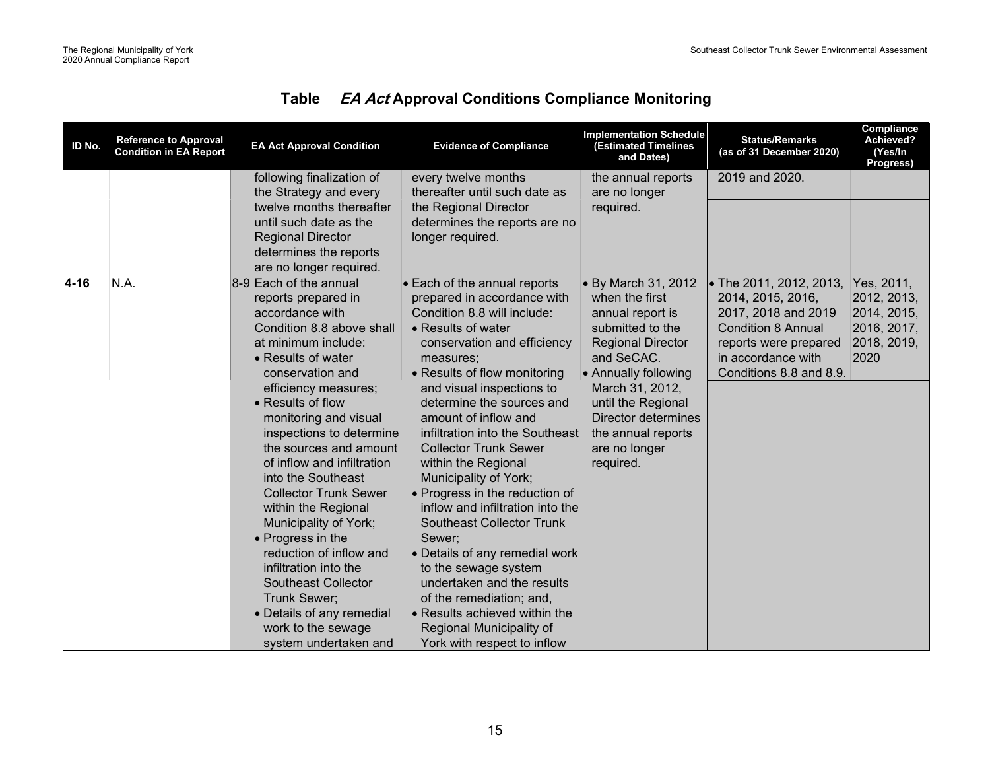| ID No.   | <b>Reference to Approval</b><br><b>Condition in EA Report</b> | <b>EA Act Approval Condition</b>                                                                                                                                                                                                                                                                                                                                                                                                                                                                                                                                                                                                  | <b>Evidence of Compliance</b>                                                                                                                                                                                                                                                                                                                                                                                                                                                                                                                                                                                                                                                                                                         | <b>Implementation Schedule</b><br><b>Estimated Timelines</b><br>and Dates)                                                                                                                                                                                                              | <b>Status/Remarks</b><br>(as of 31 December 2020)                                                                                                                          | Compliance<br>Achieved?<br>(Yes/In<br>Progress)                                |
|----------|---------------------------------------------------------------|-----------------------------------------------------------------------------------------------------------------------------------------------------------------------------------------------------------------------------------------------------------------------------------------------------------------------------------------------------------------------------------------------------------------------------------------------------------------------------------------------------------------------------------------------------------------------------------------------------------------------------------|---------------------------------------------------------------------------------------------------------------------------------------------------------------------------------------------------------------------------------------------------------------------------------------------------------------------------------------------------------------------------------------------------------------------------------------------------------------------------------------------------------------------------------------------------------------------------------------------------------------------------------------------------------------------------------------------------------------------------------------|-----------------------------------------------------------------------------------------------------------------------------------------------------------------------------------------------------------------------------------------------------------------------------------------|----------------------------------------------------------------------------------------------------------------------------------------------------------------------------|--------------------------------------------------------------------------------|
|          |                                                               | following finalization of<br>the Strategy and every                                                                                                                                                                                                                                                                                                                                                                                                                                                                                                                                                                               | every twelve months<br>thereafter until such date as                                                                                                                                                                                                                                                                                                                                                                                                                                                                                                                                                                                                                                                                                  | the annual reports<br>are no longer                                                                                                                                                                                                                                                     | 2019 and 2020.                                                                                                                                                             |                                                                                |
|          |                                                               | twelve months thereafter<br>until such date as the<br><b>Regional Director</b><br>determines the reports<br>are no longer required.                                                                                                                                                                                                                                                                                                                                                                                                                                                                                               | the Regional Director<br>determines the reports are no<br>longer required.                                                                                                                                                                                                                                                                                                                                                                                                                                                                                                                                                                                                                                                            | required.                                                                                                                                                                                                                                                                               |                                                                                                                                                                            |                                                                                |
| $4 - 16$ | N.A.                                                          | 8-9 Each of the annual<br>reports prepared in<br>accordance with<br>Condition 8.8 above shall<br>at minimum include:<br>• Results of water<br>conservation and<br>efficiency measures;<br>• Results of flow<br>monitoring and visual<br>inspections to determine<br>the sources and amount<br>of inflow and infiltration<br>into the Southeast<br><b>Collector Trunk Sewer</b><br>within the Regional<br>Municipality of York;<br>• Progress in the<br>reduction of inflow and<br>infiltration into the<br><b>Southeast Collector</b><br>Trunk Sewer;<br>• Details of any remedial<br>work to the sewage<br>system undertaken and | • Each of the annual reports<br>prepared in accordance with<br>Condition 8.8 will include:<br>• Results of water<br>conservation and efficiency<br>measures;<br>• Results of flow monitoring<br>and visual inspections to<br>determine the sources and<br>amount of inflow and<br>infiltration into the Southeast<br><b>Collector Trunk Sewer</b><br>within the Regional<br>Municipality of York;<br>• Progress in the reduction of<br>inflow and infiltration into the<br><b>Southeast Collector Trunk</b><br>Sewer;<br>• Details of any remedial work<br>to the sewage system<br>undertaken and the results<br>of the remediation; and,<br>• Results achieved within the<br>Regional Municipality of<br>York with respect to inflow | $\bullet$ By March 31, 2012<br>when the first<br>annual report is<br>submitted to the<br><b>Regional Director</b><br>and SeCAC.<br><b>Annually following</b><br>March 31, 2012,<br>until the Regional<br><b>Director determines</b><br>the annual reports<br>are no longer<br>required. | • The 2011, 2012, 2013,<br>2014, 2015, 2016,<br>2017, 2018 and 2019<br><b>Condition 8 Annual</b><br>reports were prepared<br>in accordance with<br>Conditions 8.8 and 8.9. | Yes, 2011,<br>2012, 2013,<br>2014, 2015,<br>2016, 2017,<br>2018, 2019,<br>2020 |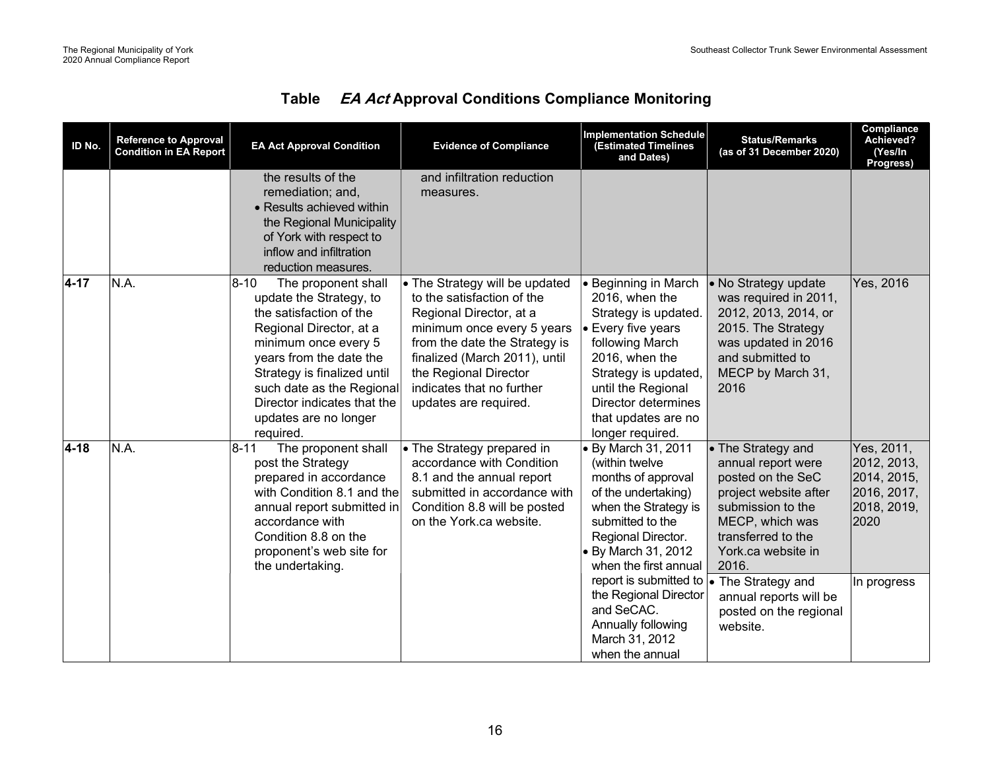| ID No.   | <b>Reference to Approval</b><br><b>Condition in EA Report</b> | <b>EA Act Approval Condition</b>                                                                                                                                                                                                                                                                       | <b>Evidence of Compliance</b>                                                                                                                                                                                                                                          | <b>Implementation Schedule</b><br><b>(Estimated Timelines</b><br>and Dates)                                                                                                                                                                                                                                                      | <b>Status/Remarks</b><br>(as of 31 December 2020)                                                                                                                                                                                                                         | Compliance<br>Achieved?<br>(Yes/In<br>Progress)                                               |
|----------|---------------------------------------------------------------|--------------------------------------------------------------------------------------------------------------------------------------------------------------------------------------------------------------------------------------------------------------------------------------------------------|------------------------------------------------------------------------------------------------------------------------------------------------------------------------------------------------------------------------------------------------------------------------|----------------------------------------------------------------------------------------------------------------------------------------------------------------------------------------------------------------------------------------------------------------------------------------------------------------------------------|---------------------------------------------------------------------------------------------------------------------------------------------------------------------------------------------------------------------------------------------------------------------------|-----------------------------------------------------------------------------------------------|
|          |                                                               | the results of the<br>remediation; and,<br>• Results achieved within<br>the Regional Municipality<br>of York with respect to<br>inflow and infiltration<br>reduction measures.                                                                                                                         | and infiltration reduction<br>measures.                                                                                                                                                                                                                                |                                                                                                                                                                                                                                                                                                                                  |                                                                                                                                                                                                                                                                           |                                                                                               |
| $4 - 17$ | N.A.                                                          | $ 8 - 10 $<br>The proponent shall<br>update the Strategy, to<br>the satisfaction of the<br>Regional Director, at a<br>minimum once every 5<br>years from the date the<br>Strategy is finalized until<br>such date as the Regional<br>Director indicates that the<br>updates are no longer<br>required. | • The Strategy will be updated<br>to the satisfaction of the<br>Regional Director, at a<br>minimum once every 5 years<br>from the date the Strategy is<br>finalized (March 2011), until<br>the Regional Director<br>indicates that no further<br>updates are required. | • Beginning in March<br>2016, when the<br>Strategy is updated.<br>• Every five years<br>following March<br>2016, when the<br>Strategy is updated,<br>until the Regional<br>Director determines<br>that updates are no<br>longer required.                                                                                        | • No Strategy update<br>was required in 2011,<br>2012, 2013, 2014, or<br>2015. The Strategy<br>was updated in 2016<br>and submitted to<br>MECP by March 31,<br>2016                                                                                                       | Yes, 2016                                                                                     |
| $4 - 18$ | N.A.                                                          | $ 8 - 11 $<br>The proponent shall<br>post the Strategy<br>prepared in accordance<br>with Condition 8.1 and the<br>annual report submitted in<br>accordance with<br>Condition 8.8 on the<br>proponent's web site for<br>the undertaking.                                                                | • The Strategy prepared in<br>accordance with Condition<br>8.1 and the annual report<br>submitted in accordance with<br>Condition 8.8 will be posted<br>on the York.ca website.                                                                                        | • By March 31, 2011<br>(within twelve<br>months of approval<br>of the undertaking)<br>when the Strategy is<br>submitted to the<br>Regional Director.<br>• By March 31, 2012<br>when the first annual<br>report is submitted to<br>the Regional Director<br>and SeCAC.<br>Annually following<br>March 31, 2012<br>when the annual | • The Strategy and<br>annual report were<br>posted on the SeC<br>project website after<br>submission to the<br>MECP, which was<br>transferred to the<br>York.ca website in<br>2016.<br>• The Strategy and<br>annual reports will be<br>posted on the regional<br>website. | Yes, 2011,<br>2012, 2013,<br>2014, 2015,<br>2016, 2017,<br>2018, 2019,<br>2020<br>In progress |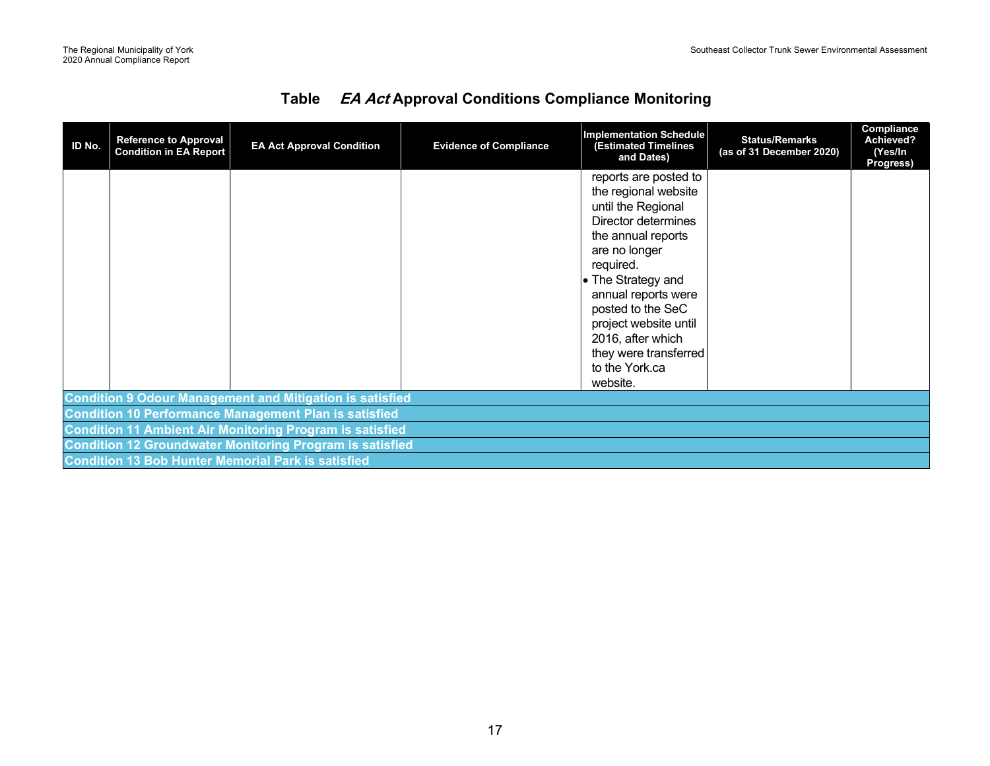| ID No.                                                          | <b>Reference to Approval</b><br><b>Condition in EA Report</b>   | <b>EA Act Approval Condition</b>                                | <b>Evidence of Compliance</b> | <b>Implementation Schedule</b><br><b>(Estimated Timelines</b><br>and Dates)                                                                                                                                                                                                                                           | <b>Status/Remarks</b><br>(as of 31 December 2020) | Compliance<br>Achieved?<br>(Yes/In<br>Progress) |  |
|-----------------------------------------------------------------|-----------------------------------------------------------------|-----------------------------------------------------------------|-------------------------------|-----------------------------------------------------------------------------------------------------------------------------------------------------------------------------------------------------------------------------------------------------------------------------------------------------------------------|---------------------------------------------------|-------------------------------------------------|--|
|                                                                 |                                                                 |                                                                 |                               | reports are posted to<br>the regional website<br>until the Regional<br>Director determines<br>the annual reports<br>are no longer<br>required.<br>• The Strategy and<br>annual reports were<br>posted to the SeC<br>project website until<br>2016, after which<br>they were transferred<br>to the York.ca<br>website. |                                                   |                                                 |  |
| <b>Condition 9 Odour Management and Mitigation is satisfied</b> |                                                                 |                                                                 |                               |                                                                                                                                                                                                                                                                                                                       |                                                   |                                                 |  |
|                                                                 | <b>Condition 10 Performance Management Plan is satisfied</b>    |                                                                 |                               |                                                                                                                                                                                                                                                                                                                       |                                                   |                                                 |  |
|                                                                 | <b>Condition 11 Ambient Air Monitoring Program is satisfied</b> |                                                                 |                               |                                                                                                                                                                                                                                                                                                                       |                                                   |                                                 |  |
|                                                                 |                                                                 | <b>Condition 12 Groundwater Monitoring Program is satisfied</b> |                               |                                                                                                                                                                                                                                                                                                                       |                                                   |                                                 |  |
|                                                                 |                                                                 | <b>Condition 13 Bob Hunter Memorial Park is satisfied</b>       |                               |                                                                                                                                                                                                                                                                                                                       |                                                   |                                                 |  |